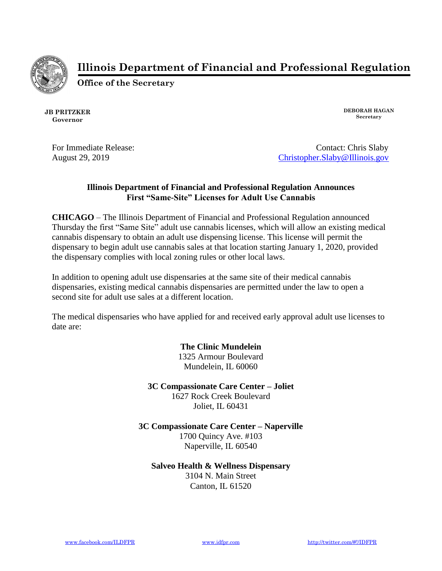

**Illinois Department of Financial and Professional Regulation**

**Office of the Secretary**

**JB PRITZKER Governor**

**DEBORAH HAGAN Secretary**

For Immediate Release: Contact: Chris Slaby August 29, 2019 [Christopher.Slaby@Illinois.gov](mailto:Christopher.Slaby@Illinois.gov)

## **Illinois Department of Financial and Professional Regulation Announces First "Same-Site" Licenses for Adult Use Cannabis**

**CHICAGO** – The Illinois Department of Financial and Professional Regulation announced Thursday the first "Same Site" adult use cannabis licenses, which will allow an existing medical cannabis dispensary to obtain an adult use dispensing license. This license will permit the dispensary to begin adult use cannabis sales at that location starting January 1, 2020, provided the dispensary complies with local zoning rules or other local laws.

In addition to opening adult use dispensaries at the same site of their medical cannabis dispensaries, existing medical cannabis dispensaries are permitted under the law to open a second site for adult use sales at a different location.

The medical dispensaries who have applied for and received early approval adult use licenses to date are:

> **The Clinic Mundelein** 1325 Armour Boulevard Mundelein, IL 60060

## **3C Compassionate Care Center – Joliet**

1627 Rock Creek Boulevard Joliet, IL 60431

**3C Compassionate Care Center – Naperville** 1700 Quincy Ave. #103 Naperville, IL 60540

## **Salveo Health & Wellness Dispensary**

3104 N. Main Street Canton, IL 61520